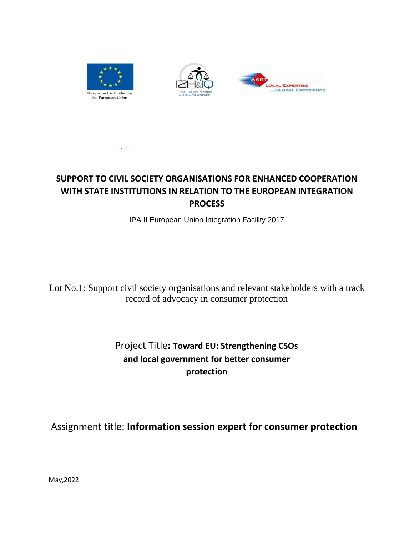



# **SUPPORT TO CIVIL SOCIETY ORGANISATIONS FOR ENHANCED COOPERATION WITH STATE INSTITUTIONS IN RELATION TO THE EUROPEAN INTEGRATION PROCESS**

IPA II European Union Integration Facility 2017

Lot No.1: Support civil society organisations and relevant stakeholders with a track record of advocacy in consumer protection

# Project Title**: Toward EU: Strengthening CSOs and local government for better consumer protection**

Assignment title: **Information session expert for consumer protection**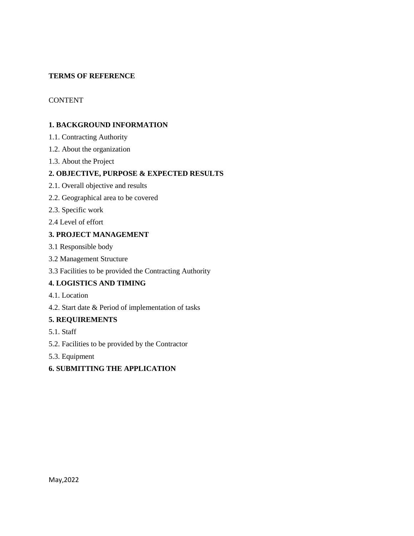# **TERMS OF REFERENCE**

# CONTENT

# **1. BACKGROUND INFORMATION**

- 1.1. Contracting Authority
- 1.2. About the organization
- 1.3. About the Project

# **2. OBJECTIVE, PURPOSE & EXPECTED RESULTS**

- 2.1. Overall objective and results
- 2.2. Geographical area to be covered
- 2.3. Specific work
- 2.4 Level of effort

# **3. PROJECT MANAGEMENT**

- 3.1 Responsible body
- 3.2 Management Structure
- 3.3 Facilities to be provided the Contracting Authority

# **4. LOGISTICS AND TIMING**

- 4.1. Location
- 4.2. Start date & Period of implementation of tasks

# **5. REQUIREMENTS**

- 5.1. Staff
- 5.2. Facilities to be provided by the Contractor
- 5.3. Equipment

# **6. SUBMITTING THE APPLICATION**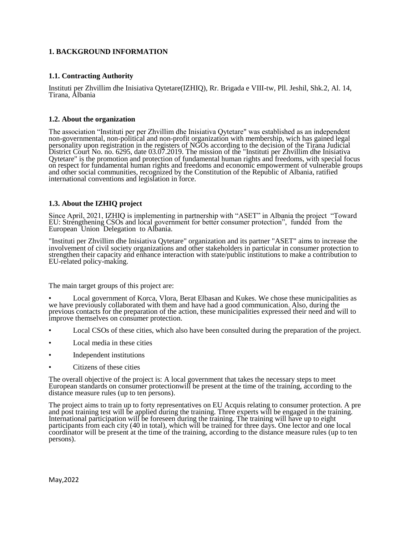# **1. BACKGROUND INFORMATION**

## **1.1. Contracting Authority**

Instituti per Zhvillim dhe Inisiativa Qytetare(IZHIQ), Rr. Brigada e VIII-tw, Pll. Jeshil, Shk.2, Al. 14, Tirana, Albania

#### **1.2. About the organization**

The association "Instituti per per Zhvillim dhe Inisiativa Qytetare" was established as an independent non-governmental, non-political and non-profit organization with membership, wich has gained legal personality upon registration in the registers of NGOs according to the decision of the Tirana Judicial District Court No. no. 6295, date 03.07.2019. The mission of the "Instituti per Zhvillim dhe Inisiativa Qytetare" is the promotion and protection of fundamental human rights and freedoms, with special focus on respect for fundamental human rights and freedoms and economic empowerment of vulnerable groups and other social communities, recognized by the Constitution of the Republic of Albania, ratified international conventions and legislation in force.

## **1.3. About the IZHIQ project**

Since April, 2021, IZHIQ is implementing in partnership with "ASET" in Albania the project "Toward EU: Strengthening CSOs and local government for better consumer protection", funded from the European Union Delegation to Albania.

"Instituti per Zhvillim dhe Inisiativa Qytetare" organization and its partner "ASET" aims to increase the involvement of civil society organizations and other stakeholders in particular in consumer protection to strengthen their capacity and enhance interaction with state/public institutions to make a contribution to EU-related policy-making.

The main target groups of this project are:

• Local government of Korca, Vlora, Berat Elbasan and Kukes. We chose these municipalities as we have previously collaborated with them and have had a good communication. Also, during the previous contacts for the preparation of the action, these municipalities expressed their need and will to improve themselves on consumer protection.

- Local CSOs of these cities, which also have been consulted during the preparation of the project.
- Local media in these cities
- Independent institutions
- Citizens of these cities

The overall objective of the project is: A local government that takes the necessary steps to meet European standards on consumer protectionwill be present at the time of the training, according to the distance measure rules (up to ten persons).

The project aims to train up to forty representatives on EU Acquis relating to consumer protection. A pre and post training test will be applied during the training. Three experts will be engaged in the training. International participation will be foreseen during the training. The training will have up to eight participants from each city (40 in total), which will be trained for three days. One lector and one local coordinator will be present at the time of the training, according to the distance measure rules (up to ten persons).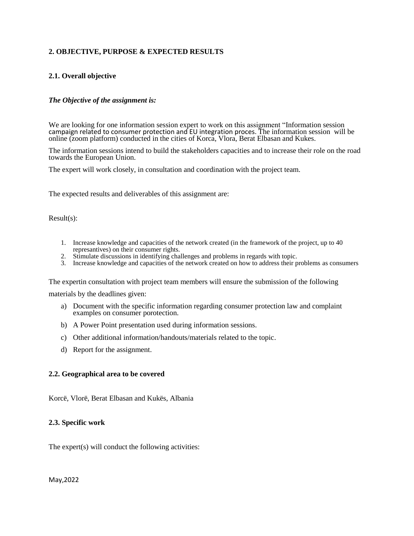# **2. OBJECTIVE, PURPOSE & EXPECTED RESULTS**

# **2.1. Overall objective**

## *The Objective of the assignment is:*

We are looking for one information session expert to work on this assignment "Information session campaign related to consumer protection and EU integration proces. The information session will be online (zoom platform) conducted in the cities of Korca, Vlora, Berat Elbasan and Kukes.

The information sessions intend to build the stakeholders capacities and to increase their role on the road towards the European Union.

The expert will work closely, in consultation and coordination with the project team.

The expected results and deliverables of this assignment are:

#### Result(s):

- 1. Increase knowledge and capacities of the network created (in the framework of the project, up to 40 represantives) on their consumer rights.
- 2. Stimulate discussions in identifying challenges and problems in regards with topic.
- 3. Increase knowledge and capacities of the network created on how to address their problems as consumers

The expertin consultation with project team members will ensure the submission of the following

materials by the deadlines given:

- a) Document with the specific information regarding consumer protection law and complaint examples on consumer porotection.
- b) A Power Point presentation used during information sessions.
- c) Other additional information/handouts/materials related to the topic.
- d) Report for the assignment.

#### **2.2. Geographical area to be covered**

Korcë, Vlorë, Berat Elbasan and Kukës, Albania

## **2.3. Specific work**

The expert(s) will conduct the following activities: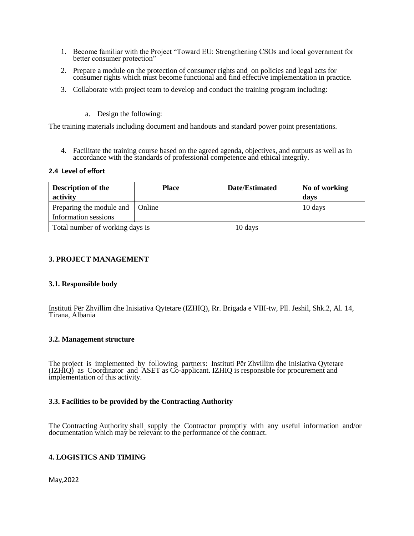- 1. Become familiar with the Project "Toward EU: Strengthening CSOs and local government for better consumer protection"
- 2. Prepare a module on the protection of consumer rights and on policies and legal acts for consumer rights which must become functional and find effective implementation in practice.
- 3. Collaborate with project team to develop and conduct the training program including:
	- a. Design the following:

The training materials including document and handouts and standard power point presentations.

4. Facilitate the training course based on the agreed agenda, objectives, and outputs as well as in accordance with the standards of professional competence and ethical integrity.

#### **2.4 Level of effort**

| <b>Description of the</b><br>activity                     | <b>Place</b> | Date/Estimated | No of working<br>days |
|-----------------------------------------------------------|--------------|----------------|-----------------------|
| Preparing the module and   Online<br>Information sessions |              |                | 10 days               |
| Total number of working days is                           |              | 10 days        |                       |

## **3. PROJECT MANAGEMENT**

#### **3.1. Responsible body**

Instituti Për Zhvillim dhe Inisiativa Qytetare (IZHIQ), Rr. Brigada e VIII-tw, Pll. Jeshil, Shk.2, Al. 14, Tirana, Albania

#### **3.2. Management structure**

The project is implemented by following partners: Instituti Për Zhvillim dhe Inisiativa Qytetare (IZHIQ) as Coordinator and ASET as Co-applicant. IZHIQ is responsible for procurement and implementation of this activity.

#### **3.3. Facilities to be provided by the Contracting Authority**

The Contracting Authority shall supply the Contractor promptly with any useful information and/or documentation which may be relevant to the performance of the contract.

# **4. LOGISTICS AND TIMING**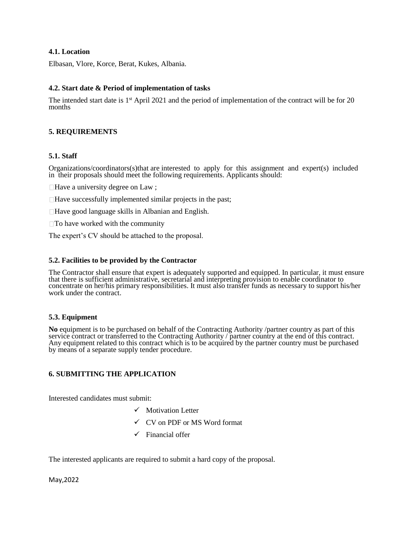# **4.1. Location**

Elbasan, Vlore, Korce, Berat, Kukes, Albania.

## **4.2. Start date & Period of implementation of tasks**

The intended start date is 1<sup>st</sup> April 2021 and the period of implementation of the contract will be for 20 months

## **5. REQUIREMENTS**

## **5.1. Staff**

Organizations/coordinators(s)that are interested to apply for this assignment and expert(s) included in their proposals should meet the following requirements. Applicants should:

 $\Box$  Have a university degree on Law ;

 $\Box$  Have successfully implemented similar projects in the past;

□Have good language skills in Albanian and English.

 $\Box$  To have worked with the community

The expert's CV should be attached to the proposal.

## **5.2. Facilities to be provided by the Contractor**

The Contractor shall ensure that expert is adequately supported and equipped. In particular, it must ensure that there is sufficient administrative, secretarial and interpreting provision to enable coordinator to concentrate on her/his primary responsibilities. It must also transfer funds as necessary to support his/her work under the contract.

#### **5.3. Equipment**

**No** equipment is to be purchased on behalf of the Contracting Authority /partner country as part of this service contract or transferred to the Contracting Authority / partner country at the end of this contract. Any equipment related to this contract which is to be acquired by the partner country must be purchased by means of a separate supply tender procedure.

# **6. SUBMITTING THE APPLICATION**

Interested candidates must submit:

- $\checkmark$  Motivation Letter
- CV on PDF or MS Word format
- $\checkmark$  Financial offer

The interested applicants are required to submit a hard copy of the proposal.